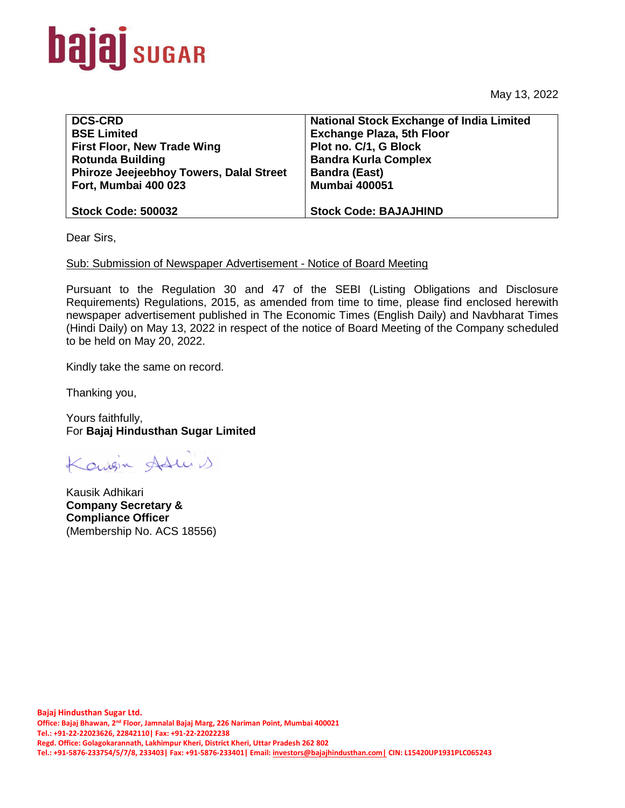

May 13, 2022

| <b>DCS-CRD</b>                                 | <b>National Stock Exchange of India Limited</b> |
|------------------------------------------------|-------------------------------------------------|
| <b>BSE Limited</b>                             | <b>Exchange Plaza, 5th Floor</b>                |
| <b>First Floor, New Trade Wing</b>             | Plot no. C/1, G Block                           |
| <b>Rotunda Building</b>                        | <b>Bandra Kurla Complex</b>                     |
| <b>Phiroze Jeejeebhoy Towers, Dalal Street</b> | <b>Bandra (East)</b>                            |
| Fort, Mumbai 400 023                           | <b>Mumbai 400051</b>                            |
|                                                |                                                 |
| <b>Stock Code: 500032</b>                      | <b>Stock Code: BAJAJHIND</b>                    |
|                                                |                                                 |

Dear Sirs,

## Sub: Submission of Newspaper Advertisement - Notice of Board Meeting

Pursuant to the Regulation 30 and 47 of the SEBI (Listing Obligations and Disclosure Requirements) Regulations, 2015, as amended from time to time, please find enclosed herewith newspaper advertisement published in The Economic Times (English Daily) and Navbharat Times (Hindi Daily) on May 13, 2022 in respect of the notice of Board Meeting of the Company scheduled to be held on May 20, 2022.

Kindly take the same on record.

Thanking you,

Yours faithfully, For **Bajaj Hindusthan Sugar Limited**

Konigin Adu 1

Kausik Adhikari **Company Secretary & Compliance Officer** (Membership No. ACS 18556)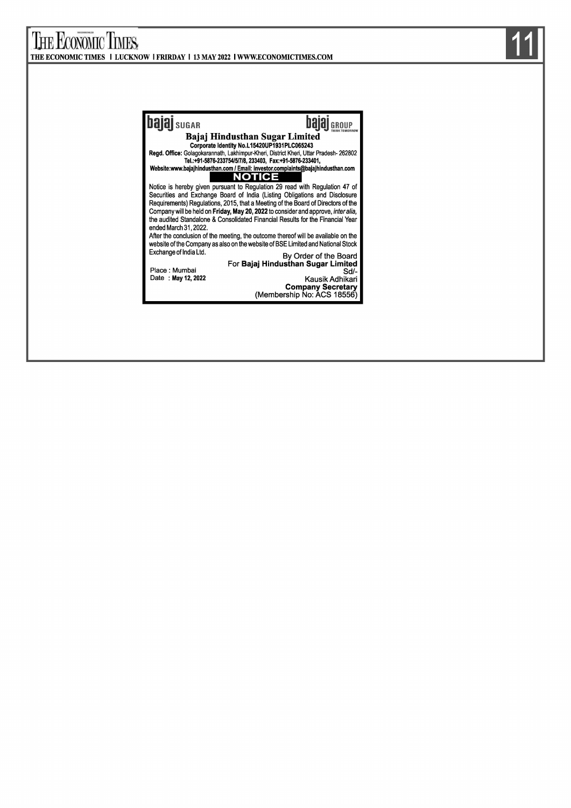## THE ECONOMIC TIMES THE ECONOMIC TIMES I LUCKNOW I FRIRDAY I 13 MAY 2022 I WWW.ECONOMICTIMES.COM **bajaj** sugar **hajaj bajaj bajaj bajaj dikerikan Sugar Limited** Corporate Identity No.L 15420UP1931 PLC065243 Regd. Office: Golagokarannath, Lakhimpur-Kheri, District Kheri, Uttar Pradesh- 262802<br>Tel.:+91-5876-233754/5/7/8, 233403, Fax:+91-5876-233401,<br>Website:www.bajajhindusthan.com / Email: investor.complaints@bajajhindusthan.co **NOTICE** Notice is hereby given pursuant to Regulation 29 read with Regulation 47 of Securities and Exchange Board of India (Listing Obligations and Disclosure Requirements) Regulations, 2015, that a Meeting of the Board of Directors of the Company will be held on Friday, May 20, 2022 to consider and approve, *inter alia,* the audited Standalone & Consolidated Financial Results for the Financial Year ended March 31,2022. After the conclusion of the meeting, the outcome thereof will be available on the website of the Company as also on the website of BSE Limited and National Stock Exchange of India Ltd. By Order of the Board For Bajaj Hindusthan Sugar Limited Place : Mumbai **Sd/-** Sd/-Date : May 12, 2022 Kausik Adhikari Company Secretary (Membership No: ACS 18556)